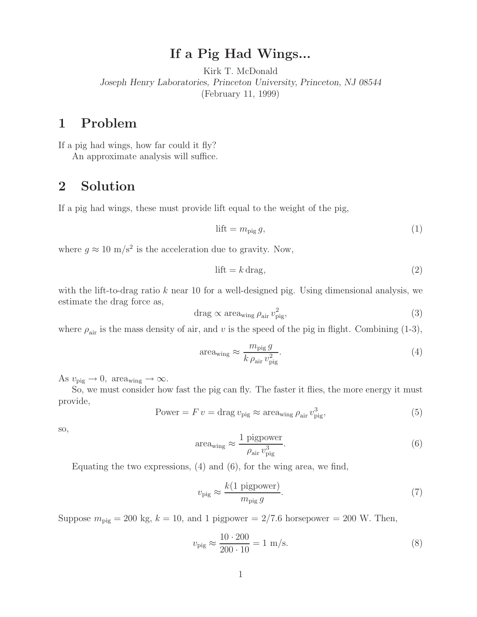## **If a Pig Had Wings...**

Kirk T. McDonald *Joseph Henry Laboratories, Princeton University, Princeton, NJ 08544* (February 11, 1999)

### **1 Problem**

If a pig had wings, how far could it fly?

An approximate analysis will suffice.

#### **2 Solution**

If a pig had wings, these must provide lift equal to the weight of the pig,

$$
\text{lift} = m_{\text{pig}} g,\tag{1}
$$

where  $g \approx 10 \text{ m/s}^2$  is the acceleration due to gravity. Now,

$$
lift = k \, \text{drag},\tag{2}
$$

with the lift-to-drag ratio k near 10 for a well-designed pig. Using dimensional analysis, we estimate the drag force as,

$$
drag \propto \text{area}_{\text{wing}} \rho_{\text{air}} v_{\text{pig}}^2,\tag{3}
$$

where  $\rho_{\text{air}}$  is the mass density of air, and v is the speed of the pig in flight. Combining (1-3),

$$
\text{area}_{\text{wing}} \approx \frac{m_{\text{pig}} g}{k \,\rho_{\text{air}} \, v_{\text{pig}}^2}.\tag{4}
$$

As  $v_{\text{pig}} \rightarrow 0$ , area<sub>wing</sub>  $\rightarrow \infty$ .

So, we must consider how fast the pig can fly. The faster it flies, the more energy it must provide,

Power = 
$$
F v = \text{drag } v_{\text{pig}} \approx \text{area}_{\text{wing}} \rho_{\text{air}} v_{\text{pig}}^3,
$$
 (5)

so,

$$
areawing \approx \frac{1 \text{ pigpower}}{\rho_{air} v_{\text{pig}}^3}.
$$
 (6)

Equating the two expressions, (4) and (6), for the wing area, we find,

$$
v_{\rm pig} \approx \frac{k(1 \text{ pigpower})}{m_{\rm pig} g}.\tag{7}
$$

Suppose  $m_{\text{pig}} = 200 \text{ kg}, k = 10$ , and 1 pigpower = 2/7.6 horsepower = 200 W. Then,

$$
v_{\rm pig} \approx \frac{10 \cdot 200}{200 \cdot 10} = 1 \, \text{m/s}.\tag{8}
$$